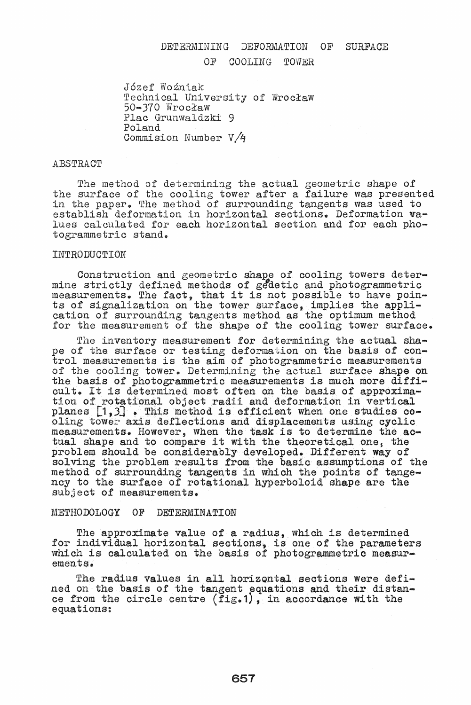# DETERMINING DEFORMATION OF SURFACE

## OF COOLING TOWER

Jozef Wozniak Technical University of Wrocław 50-370 Wrocław Flac Grunwaldzki 9 Poland Commision Number  $V/4$ 

## **ABSTRACT**

The method of determining the actual geometric shape of the surface of the cooling tower after a failure was presented in the paper. The method of surrounding tangents was used to establish deformation in horizontal sections. Deformation walues calculated for each horizontal section and for each photogrammetric stand.

### INTRODUCTION

Construction and geometric shape of cooling towers deter-<br>mine strictly defined methods of gedetic and photogrammetric mine strictly defined methods of gedetic and photogrammetric<br>measurements. The fact, that it is not possible to have points of Signalization on the tower surface, implies the appli- cation of surrounding tangents method as the optimum method for the measurement of the shape of the cooling tower surface.

The inventory measurement for determining the actual shape of the surface or testing deformation on the basis of control measurements is the aim of photogrammetric measurements of the cooling tower. Determining the actual surface shape on of the cooling tower. Determining the actual surface shape on the basis of photogrammetric measurements is much more difficult. It is determined most often on the basis of approximation of rotational object radii and deformation in vertical planes  $\begin{bmatrix} 1,3 \end{bmatrix}$ . This method is efficient when one studies co-<br>oling tower axis deflections and displacements using cyclic measurements. However, when the task is to determine the acmeasurements. However, when the task is to determine the adductional shape and to compare it with the theoretical one, the problem should be considerably developed. Different way of solving the problem results from the basic assumptions of the method of surrounding tangents in which the points of tangency to the surface of rotational hyperboloid shape are the subject of measurements.

## METHODOLOGY OF DETERMINATION

The approximate value of a radius, which is determined for individual horizontal sections, is one of the parameters which is calculated on the basis of photogrammetric measurements.

The radius values in all horizontal sections were defined on the basis of the tangent equations and their distance from the circle centre (fig.1), in accordance with the equations: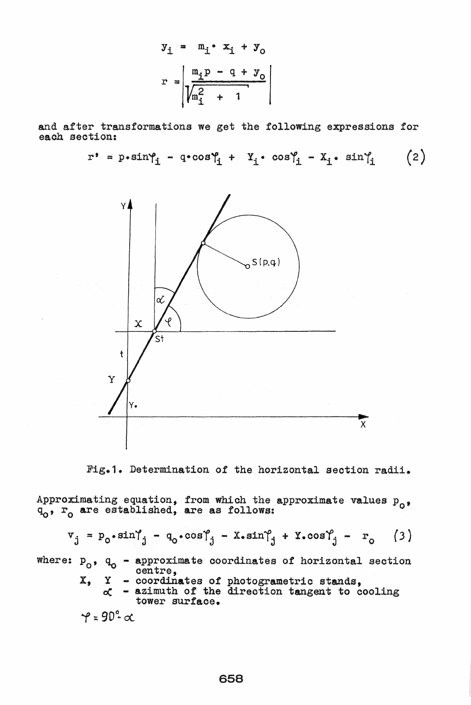$$
y_{\underline{i}} = m_{\underline{i}} \cdot x_{\underline{i}} + y_0
$$

$$
r = \left| \frac{m_{\underline{i}} p - q + y_0}{\sqrt{m_{\underline{i}}^2 + 1}} \right|
$$

and after transformations we get the following expressions for each section:

$$
r^* = p * sin\gamma_i - q * cos\gamma_i + X_i * cos\gamma_i - X_i * sin\gamma_i
$$
 (2)



Fig.1. Determination of the horizontal section radii.

Approximating equation, from which the approximate values  $p_0$ ,  $q_0$ ,  $r_0$  are established, are as follows:

$$
\mathbf{v}_{j} = \mathbf{p}_{0} \cdot \sin \gamma_{j} - \mathbf{q}_{0} \cdot \cos \gamma_{j} - \mathbf{x} \cdot \sin \gamma_{j} + \mathbf{x} \cdot \cos \gamma_{j} - \mathbf{r}_{0} \tag{3}
$$

where:  $p_0$ ,  $q_0$  - approximate coordinates of horizontal section centre,

- coordinates of photogrametric stands,<br>- azimuth of the direction tangent to cooling  $\mathbf{x}_s$  $\mathbf Y$ 
	- ď tower surface.  $\sim$   $\sim$  0

$$
\gamma = 90 - \alpha
$$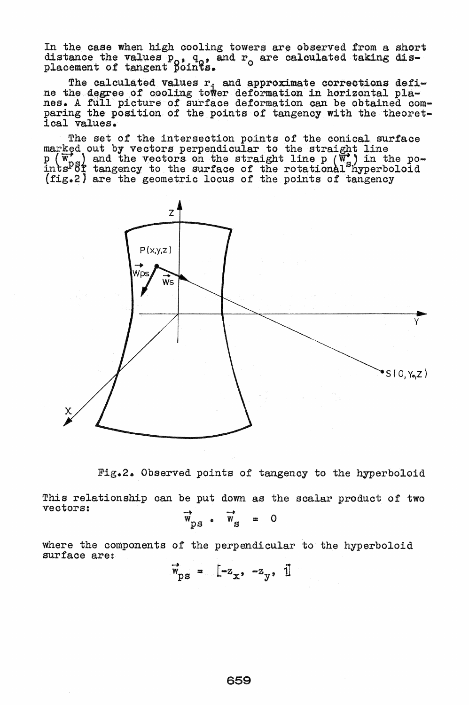In the case when high cooling towers are observed from a short distance the values  $p_0$ ,  $q_0$ , and  $r_0$  are calculated taking dis-<br>placement of tangent points.

The calculated values r, and approximate corrections defi-<br>ne the degree of cooling tower deformation in horizontal pla-<br>nes. A full picture of surface deformation can be obtained com-<br>paring the position of the points of ical values.

The set of the intersection points of the conical surface marked out by vectors perpendicular to the straight line  $p(\overline{w}_p)$  and the vectors on the straight line  $p(\overline{w}_p)$  in the po-<br>ints<sup>p</sup>8f tangency to the surface of the rotational hyperboloid<br>(fig.2) are the geometric locus of the points of tangency



Fig.2. Observed points of tangency to the hyperboloid

This relationship can be put down as the scalar product of two vectors:

$$
\overline{w}_{\text{ps}} \cdot \overline{w}_{\text{s}} = 0
$$

where the components of the perpendicular to the hyperboloid surface are:

 $\vec{w}_{\text{DS}} = [-z_{x}, -z_{y}, 1]$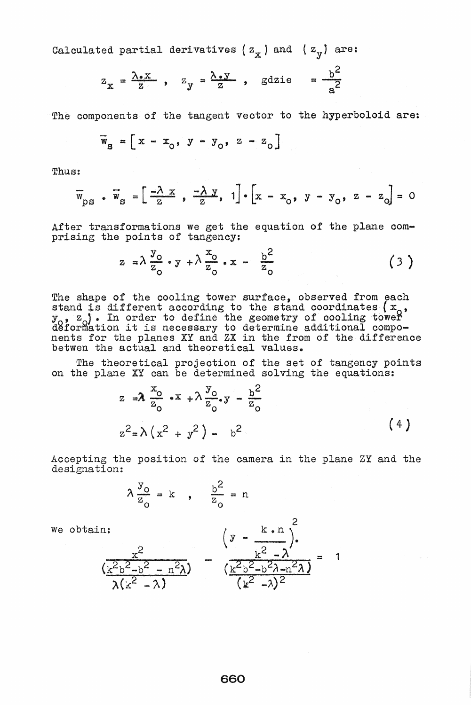Calculated partial derivatives ( $z_{\infty}$ ) and ( $z_{\infty}$ ) are:

$$
z_{\overline{x}} = \frac{\lambda \cdot x}{z}
$$
,  $z_{\overline{y}} = \frac{\lambda \cdot y}{z}$ ,  $g \text{d} z \text{i} e = \frac{b^2}{a^2}$ 

The components of the tangent vector to the hyperboloid are:

$$
\overline{\mathbf{w}}_{\mathbf{S}} = \left[ \mathbf{x} - \mathbf{x}_{0}, \mathbf{y} - \mathbf{y}_{0}, \mathbf{z} - \mathbf{z}_{0} \right]
$$

Thus:

$$
\overline{w}_{\text{ps}} \cdot \overline{w}_{\text{s}} = \left[ \frac{-\lambda x}{z}, \frac{-\lambda x}{z}, 1 \right] \cdot \left[ x - x_{0}, y - y_{0}, z - z_{0} \right] = 0
$$

After transformations we get the equation of the plane comprising the points of tangency:

$$
z = \lambda \frac{y_0}{z_0} \cdot y + \lambda \frac{x_0}{z_0} \cdot x - \frac{b^2}{z_0} \tag{3}
$$

The shape of the cooling tower surface, observed from each<br>stand is different according to the stand coordinates  $(x_0, y_0, z_0)$ . In order to define the geometry of cooling tower<br>deformation it is necessary to determine ad

The theoretical projection of the set of tangency points on the plane XY can be determined solving the equations:

$$
z = \lambda \frac{x_0}{z_0} \cdot x + \lambda \frac{y_0}{z_0} \cdot y - \frac{b^2}{z_0}
$$
  

$$
z^2 = \lambda (x^2 + y^2) - b^2
$$
 (4)

Accepting the position of the camera in the plane ZY and the designation:

$$
\lambda \frac{y_0}{z_0} = k \quad , \quad \frac{b^2}{z_0} = n
$$

we obtain:

n:  
\n
$$
\left(y - \frac{k \cdot n}{k^2} \right)^2
$$
\n
$$
\left(y - \frac{k \cdot n}{k^2 - \lambda} \right)^2 = \left(\frac{k^2 - \lambda}{k^2 - \lambda}\right)^2 = 1
$$
\n
$$
\left(\frac{k^2b^2 - b^2}{k^2 - \lambda}\right)^2 = 1
$$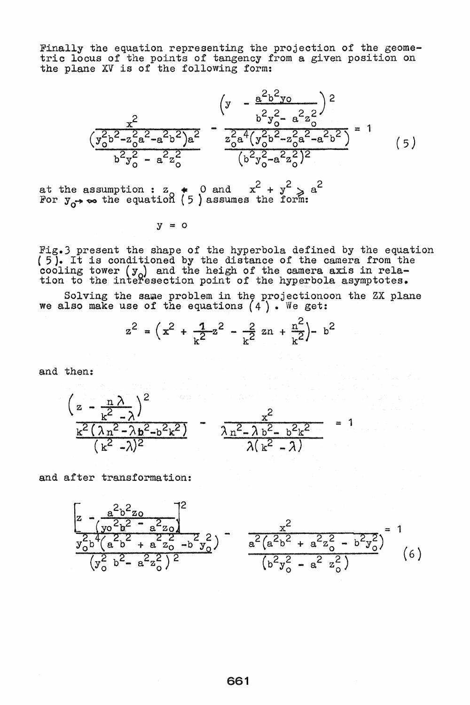Finally the equation representing the projection of the geome-<br>tric locus of the points of tangency from a given position on the plane XV is of the following form:

$$
\left(y - \frac{a^{2}b^{2}y_{0}}{b^{2}y_{0}^{2} - a^{2}z_{0}^{2}}\right)^{2}
$$
\n
$$
\left(y - \frac{a^{2}b^{2}y_{0}}{b^{2}y_{0}^{2} - a^{2}z_{0}^{2}}\right)^{2}
$$
\n
$$
\left(y - \frac{a^{2}b^{2}y_{0}}{b^{2}y_{0}^{2} - a^{2}z_{0}^{2}}\right)^{2}
$$
\n
$$
\left(y - \frac{a^{2}b^{2}y_{0}}{b^{2}y_{0}^{2} - a^{2}z_{0}^{2}}\right)^{2}
$$
\n
$$
\left(y - \frac{a^{2}b^{2}y_{0}}{b^{2}y_{0}^{2} - a^{2}z_{0}^{2}}\right)^{2}
$$
\n
$$
\left(y - \frac{a^{2}b^{2}y_{0}}{b^{2}y_{0}^{2} - a^{2}z_{0}^{2}}\right)^{2}
$$
\n
$$
\left(y - \frac{a^{2}b^{2}y_{0}}{b^{2}y_{0}^{2} - a^{2}z_{0}^{2}}\right)^{2}
$$
\n
$$
\left(y - \frac{a^{2}b^{2}y_{0}}{b^{2}y_{0}^{2} - a^{2}z_{0}^{2}}\right)^{2}
$$
\n
$$
\left(y - \frac{a^{2}b^{2}y_{0}}{b^{2}y_{0}^{2} - a^{2}z_{0}^{2}}\right)^{2}
$$
\n
$$
\left(y - \frac{a^{2}b^{2}y_{0}}{b^{2}y_{0}^{2} - a^{2}z_{0}^{2}}\right)^{2}
$$
\n
$$
\left(y - \frac{a^{2}b^{2}y_{0}}{b^{2}y_{0}^{2} - a^{2}z_{0}^{2}}\right)^{2}
$$
\n
$$
\left(y - \frac{a^{2}b^{2}y_{0}}{b^{2}y_{0}^{2} - a^{2}z_{0}^{2}}\right)^{2}
$$
\n
$$
\left(y - \frac{a^{2}b^{2}y_{0}}{b^{2}y_{0}^{2} - a^{2}z_{0}^{2}}\right)^{2}
$$

at the assumption :  $z_0$   $\neq$  0 and  $x^2 + y^2 \geqslant a^2$ For  $y_{\alpha}$  the equation (5) assumes the form:

 $y = 0$ 

Fig.) present the shape of the hyperbola defined by the equation ( 5). It is condi tioned by the distance of the camera from the cooling tower  $(y_0)$  and the heigh of the camera axis in relation to the interesection point of the hyperbola asymptotes.

Solving the same problem in the projectionoon we also make use of the equations  $(4^{\prime})$ . We get: the ZX plane

$$
z^{2} = (x^{2} + \frac{1}{k^{2}}z^{2} - \frac{2}{k^{2}}zn + \frac{n^{2}}{k^{2}}) - b^{2}
$$

and then:

$$
\left(\frac{z-\frac{n\lambda}{k^2-\lambda}\right)^2}{\frac{k^2(\lambda n^2-\lambda b^2-b^2k^2)}{(k^2-\lambda)^2}}-\frac{z^2}{\frac{\lambda n^2-\lambda b^2-b^2k^2}{\lambda(k^2-\lambda)}}=\frac{z^2}{\lambda(k^2-\lambda)}
$$

and after transformation:

$$
\left[z - \frac{a^{2}b^{2}z_{0}}{\left(y_{0}^{2}b^{2} - a^{2}z_{0}\right)}\right]^{2}
$$
  

$$
\frac{x^{2}}{y_{0}^{2}b^{4}\left(a^{2}b^{2} + a^{2}z_{0}^{2} - b^{2}y_{0}^{2}\right)} - \frac{x^{2}}{a^{2}\left(a^{2}b^{2} + a^{2}z_{0}^{2} - b^{2}y_{0}^{2}\right)} = 1
$$
  

$$
\left(y_{0}^{2}b^{2} - a^{2}z_{0}^{2}\right)^{2}
$$
 (6)

 $\mathbf 1$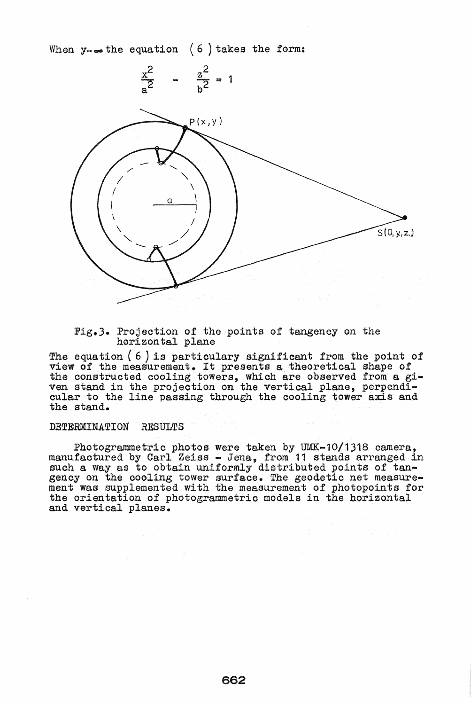When  $y \rightarrow \infty$  the equation (6) takes the form:



Fig.3. Projection of the points of tangency on the horizontal plane

The equation ( 6 ) is particulary significant from the point of view of the measurement. It presents a theoretical shape of the constructed cooling towers, which are observed from a. *gi*ven stand in the projection on the vertical plane, perpendi-<br>cular to the line passing through the cooling tower axis and cular to the line passing through the cooling tower axis and the stand.

#### DETERMINATION RESULTS

Photogrammetric photos were taken by UMK-10/1318 camera, manufactured by Carl Zeiss - Jena, from 11 stands arranged in such a way as to obtain uniformly distributed points of tangency on the cooling tower surface. The geodetic net measure-<br>ment was supplemented with the measurement of photopoints for the orientation of photogrammetrio models in the horizontal and vertical planes.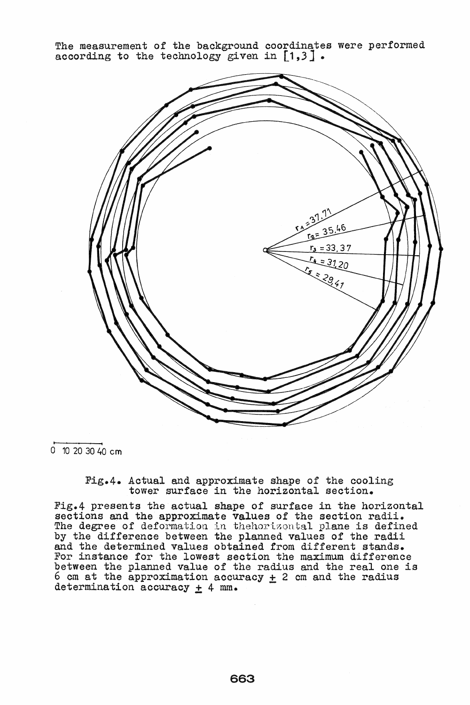The measurement of the background coordinates were performed according to the technology given in  $\lceil 1,3 \rceil$ .



 $\overline{0}$  10 20 30 40 cm

Fig.4. Actual and approximate shape of the cooling tower surface *in* the horizontal section.

Fig.4 presents the actual shape of surface in the horizontal sections and the approximate values of the section radii. The degree of deformation in thehorizontal plane is defined by the difference between the planned values of the radii and the determined values obtained from different stands. For instance for the lowest section the maximum difference between the planned value of the radius and the real one *is*  6 cm at the approximation accuracy  $\pm$  2 cm and the radius determination accuracy  $\pm$  4 mm.